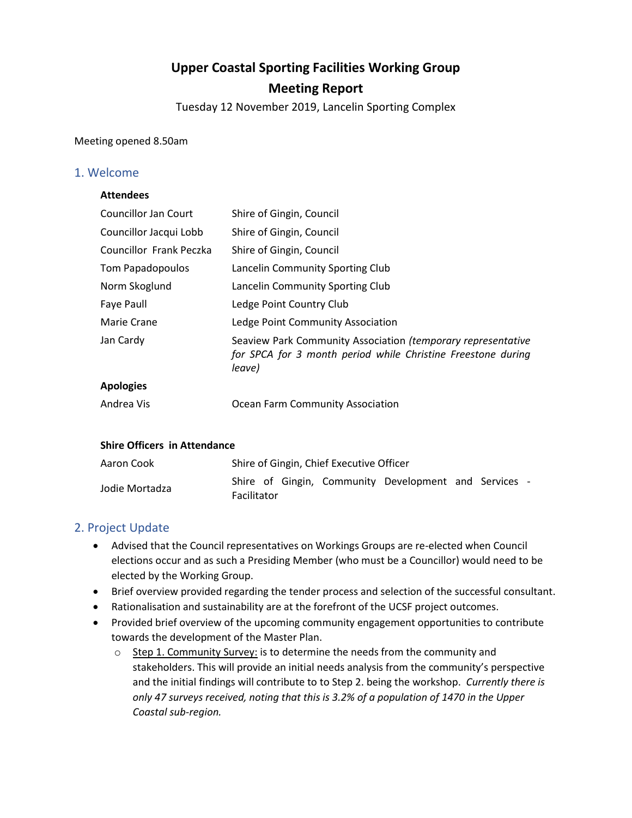# **Upper Coastal Sporting Facilities Working Group Meeting Report**

Tuesday 12 November 2019, Lancelin Sporting Complex

Meeting opened 8.50am

### 1. Welcome

#### **Attendees**

| <b>Councillor Jan Court</b> | Shire of Gingin, Council                                                                                                               |
|-----------------------------|----------------------------------------------------------------------------------------------------------------------------------------|
| Councillor Jacqui Lobb      | Shire of Gingin, Council                                                                                                               |
| Councillor Frank Peczka     | Shire of Gingin, Council                                                                                                               |
| Tom Papadopoulos            | Lancelin Community Sporting Club                                                                                                       |
| Norm Skoglund               | Lancelin Community Sporting Club                                                                                                       |
| Faye Paull                  | Ledge Point Country Club                                                                                                               |
| Marie Crane                 | Ledge Point Community Association                                                                                                      |
| Jan Cardy                   | Seaview Park Community Association (temporary representative<br>for SPCA for 3 month period while Christine Freestone during<br>leave) |
| <b>Apologies</b>            |                                                                                                                                        |

Andrea Vis Ocean Farm Community Association

#### **Shire Officers in Attendance**

| Aaron Cook     | Shire of Gingin, Chief Executive Officer                                    |  |  |  |  |  |  |
|----------------|-----------------------------------------------------------------------------|--|--|--|--|--|--|
| Jodie Mortadza | Shire of Gingin, Community Development and Services -<br><b>Facilitator</b> |  |  |  |  |  |  |

## 2. Project Update

- Advised that the Council representatives on Workings Groups are re-elected when Council elections occur and as such a Presiding Member (who must be a Councillor) would need to be elected by the Working Group.
- Brief overview provided regarding the tender process and selection of the successful consultant.
- Rationalisation and sustainability are at the forefront of the UCSF project outcomes.
- Provided brief overview of the upcoming community engagement opportunities to contribute towards the development of the Master Plan.
	- o Step 1. Community Survey: is to determine the needs from the community and stakeholders. This will provide an initial needs analysis from the community's perspective and the initial findings will contribute to to Step 2. being the workshop. *Currently there is only 47 surveys received, noting that this is 3.2% of a population of 1470 in the Upper Coastal sub-region.*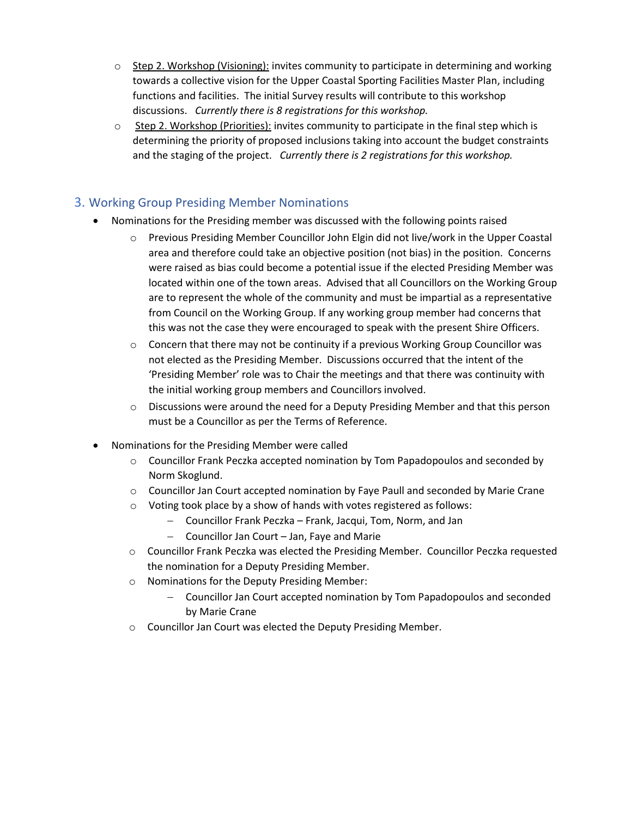- $\circ$  Step 2. Workshop (Visioning): invites community to participate in determining and working towards a collective vision for the Upper Coastal Sporting Facilities Master Plan, including functions and facilities. The initial Survey results will contribute to this workshop discussions. *Currently there is 8 registrations for this workshop.*
- $\circ$  Step 2. Workshop (Priorities): invites community to participate in the final step which is determining the priority of proposed inclusions taking into account the budget constraints and the staging of the project. *Currently there is 2 registrations for this workshop.*

# 3. Working Group Presiding Member Nominations

- Nominations for the Presiding member was discussed with the following points raised
	- o Previous Presiding Member Councillor John Elgin did not live/work in the Upper Coastal area and therefore could take an objective position (not bias) in the position. Concerns were raised as bias could become a potential issue if the elected Presiding Member was located within one of the town areas. Advised that all Councillors on the Working Group are to represent the whole of the community and must be impartial as a representative from Council on the Working Group. If any working group member had concerns that this was not the case they were encouraged to speak with the present Shire Officers.
	- $\circ$  Concern that there may not be continuity if a previous Working Group Councillor was not elected as the Presiding Member. Discussions occurred that the intent of the 'Presiding Member' role was to Chair the meetings and that there was continuity with the initial working group members and Councillors involved.
	- o Discussions were around the need for a Deputy Presiding Member and that this person must be a Councillor as per the Terms of Reference.
- Nominations for the Presiding Member were called
	- o Councillor Frank Peczka accepted nomination by Tom Papadopoulos and seconded by Norm Skoglund.
	- $\circ$  Councillor Jan Court accepted nomination by Faye Paull and seconded by Marie Crane
	- o Voting took place by a show of hands with votes registered as follows:
		- Councillor Frank Peczka Frank, Jacqui, Tom, Norm, and Jan
		- Councillor Jan Court Jan, Faye and Marie
	- o Councillor Frank Peczka was elected the Presiding Member. Councillor Peczka requested the nomination for a Deputy Presiding Member.
	- o Nominations for the Deputy Presiding Member:
		- Councillor Jan Court accepted nomination by Tom Papadopoulos and seconded by Marie Crane
	- o Councillor Jan Court was elected the Deputy Presiding Member.